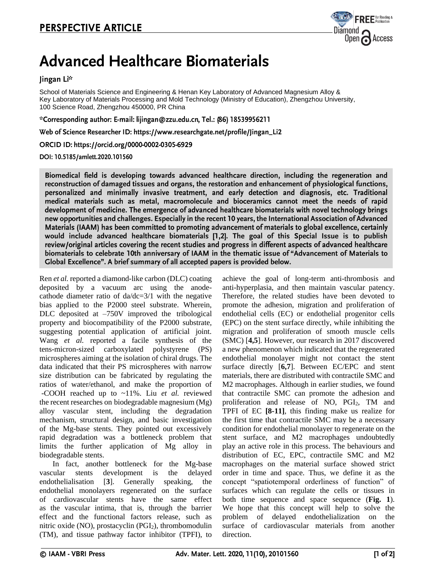

# **Advanced Healthcare Biomaterials**

## Jingan Li\*

School of Materials Science and Engineering & Henan Key Laboratory of Advanced Magnesium Alloy & Key Laboratory of Materials Processing and Mold Technology (Ministry of Education), Zhengzhou University, 100 Science Road, Zhengzhou 450000, PR China

\*Corresponding author: E-mail: lijingan@zzu.edu.cn, Tel.: (86) 18539956211

Web of Science Researcher ID: https://www.researchgate.net/profile/Jingan\_Li2

ORCID ID: https://orcid.org/0000-0002-0305-6929

DOI: 10.5185/amlett.2020.101560

Biomedical field is developing towards advanced healthcare direction, including the regeneration and reconstruction of damaged tissues and organs, the restoration and enhancement of physiological functions, personalized and minimally invasive treatment, and early detection and diagnosis, etc. Traditional medical materials such as metal, macromolecule and bioceramics cannot meet the needs of rapid development of medicine. The emergence of advanced healthcare biomaterials with novel technology brings new opportunities and challenges. Especially in the recent 10 years, the International Association of Advanced Materials (IAAM) has been committed to promoting advancement of materials to global excellence, certainly would include advanced healthcare biomaterials [1,2]. The goal of this Special Issue is to publish review/original articles covering the recent studies and progress in different aspects of advanced healthcare biomaterials to celebrate 10th anniversary of IAAM in the thematic issue of "Advancement of Materials to Global Excellence". A brief summary of all accepted papers is provided below.

Ren *et al.* reported a diamond-like carbon (DLC) coating deposited by a vacuum arc using the anodecathode diameter ratio of  $da/dc=3/1$  with the negative bias applied to the P2000 steel substrate. Wherein, DLC deposited at –750V improved the tribological property and biocompatibility of the P2000 substrate, suggesting potential application of artificial joint. Wang *et al.* reported a facile synthesis of the tens-micron-sized carboxylated polystyrene (PS) microspheres aiming at the isolation of chiral drugs. The data indicated that their PS microspheres with narrow size distribution can be fabricated by regulating the ratios of water/ethanol, and make the proportion of -COOH reached up to ~11%. Liu *et al.* reviewed the recent researches on biodegradable magnesium (Mg) alloy vascular stent, including the degradation mechanism, structural design, and basic investigation of the Mg-base stents. They pointed out excessively rapid degradation was a bottleneck problem that limits the further application of Mg alloy in biodegradable stents.

In fact, another bottleneck for the Mg-base vascular stents development is the delayed endothelialisation [**3**]. Generally speaking, the endothelial monolayers regenerated on the surface of cardiovascular stents have the same effect as the vascular intima, that is, through the barrier effect and the functional factors release, such as nitric oxide (NO), prostacyclin (PGI<sub>2</sub>), thrombomodulin (TM), and tissue pathway factor inhibitor (TPFI), to achieve the goal of long-term anti-thrombosis and anti-hyperplasia, and then maintain vascular patency. Therefore, the related studies have been devoted to promote the adhesion, migration and proliferation of endothelial cells (EC) or endothelial progenitor cells (EPC) on the stent surface directly, while inhibiting the migration and proliferation of smooth muscle cells (SMC) [**4,5**]. However, our research in 2017 discovered a new phenomenon which indicated that the regenerated endothelial monolayer might not contact the stent surface directly [**6,7**]. Between EC/EPC and stent materials, there are distributed with contractile SMC and M2 macrophages. Although in earlier studies, we found that contractile SMC can promote the adhesion and proliferation and release of NO, PGI<sub>2</sub>, TM and TPFI of EC **[8-11]**, this finding make us realize for the first time that contractile SMC may be a necessary condition for endothelial monolayer to regenerate on the stent surface, and M2 macrophages undoubtedly play an active role in this process. The behaviours and distribution of EC, EPC, contractile SMC and M2 macrophages on the material surface showed strict order in time and space. Thus, we define it as the concept "spatiotemporal orderliness of function" of surfaces which can regulate the cells or tissues in both time sequence and space sequence (**Fig. 1**). We hope that this concept will help to solve the problem of delayed endothelialization on the surface of cardiovascular materials from another direction.